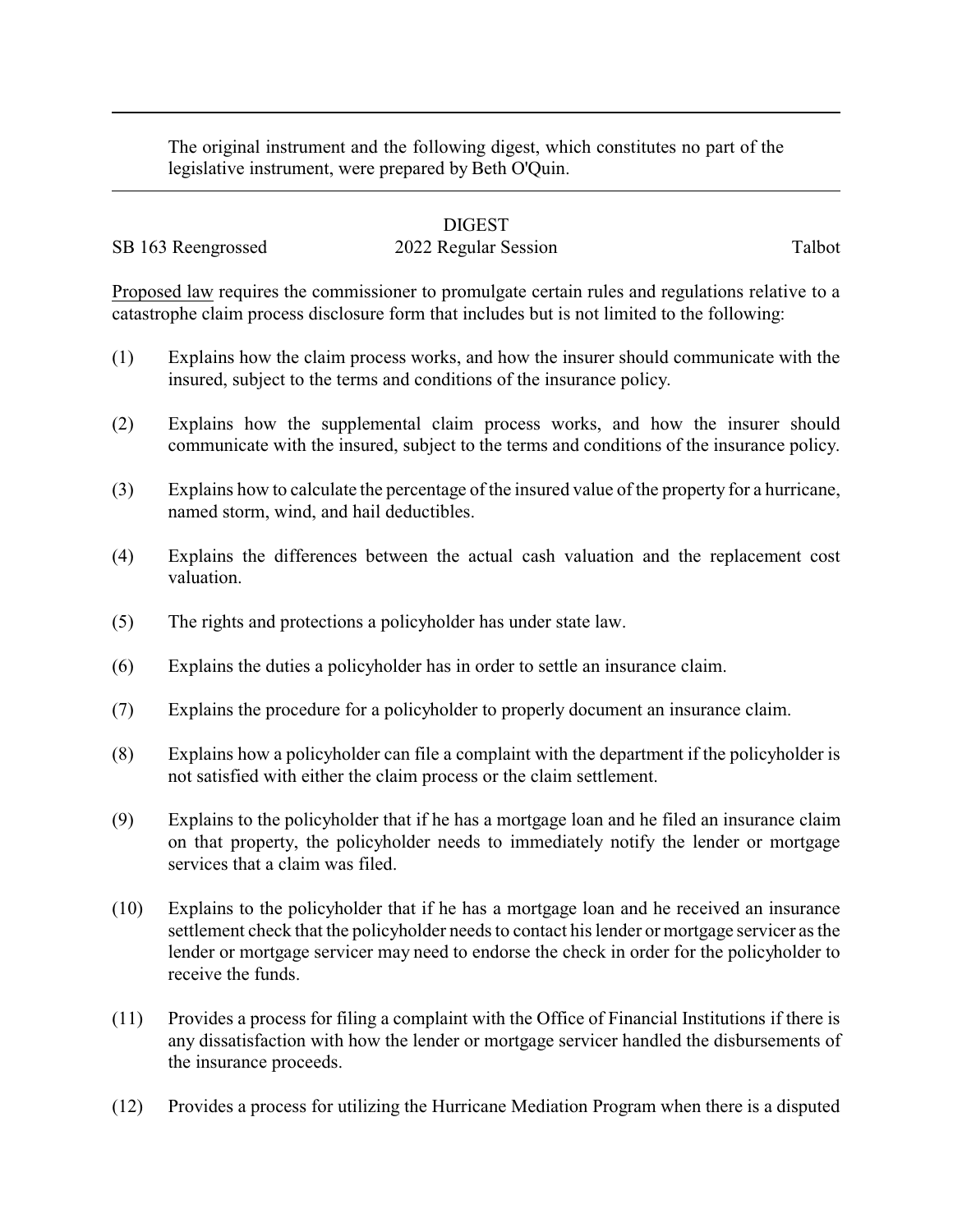The original instrument and the following digest, which constitutes no part of the legislative instrument, were prepared by Beth O'Quin.

## DIGEST

## SB 163 Reengrossed 2022 Regular Session Talbot

Proposed law requires the commissioner to promulgate certain rules and regulations relative to a catastrophe claim process disclosure form that includes but is not limited to the following:

- (1) Explains how the claim process works, and how the insurer should communicate with the insured, subject to the terms and conditions of the insurance policy.
- (2) Explains how the supplemental claim process works, and how the insurer should communicate with the insured, subject to the terms and conditions of the insurance policy.
- (3) Explains how to calculate the percentage of the insured value of the property for a hurricane, named storm, wind, and hail deductibles.
- (4) Explains the differences between the actual cash valuation and the replacement cost valuation.
- (5) The rights and protections a policyholder has under state law.
- (6) Explains the duties a policyholder has in order to settle an insurance claim.
- (7) Explains the procedure for a policyholder to properly document an insurance claim.
- (8) Explains how a policyholder can file a complaint with the department if the policyholder is not satisfied with either the claim process or the claim settlement.
- (9) Explains to the policyholder that if he has a mortgage loan and he filed an insurance claim on that property, the policyholder needs to immediately notify the lender or mortgage services that a claim was filed.
- (10) Explains to the policyholder that if he has a mortgage loan and he received an insurance settlement check that the policyholder needs to contact his lender or mortgage servicer as the lender or mortgage servicer may need to endorse the check in order for the policyholder to receive the funds.
- (11) Provides a process for filing a complaint with the Office of Financial Institutions if there is any dissatisfaction with how the lender or mortgage servicer handled the disbursements of the insurance proceeds.
- (12) Provides a process for utilizing the Hurricane Mediation Program when there is a disputed